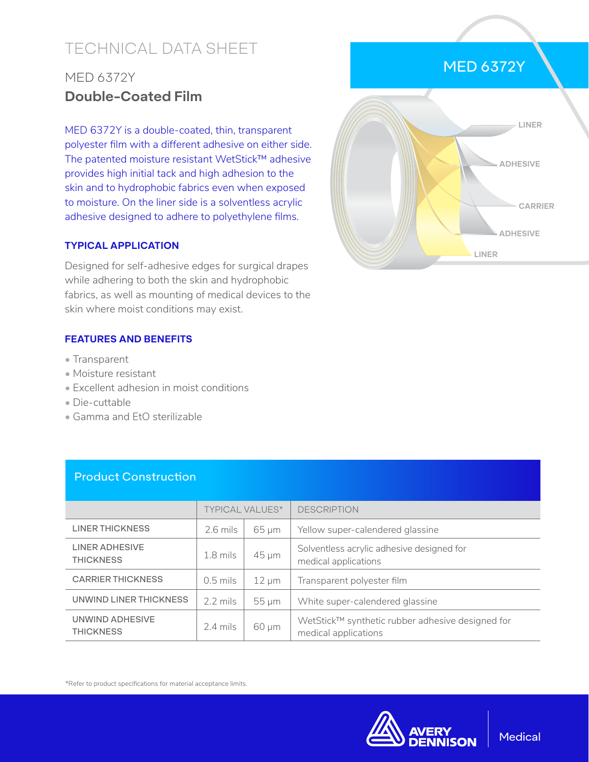# TECHNICAL DATA SHEET

## MED 6372Y **Double-Coated Film**

MED 6372Y is a double-coated, thin, transparent polyester film with a different adhesive on either side. The patented moisture resistant WetStick™ adhesive provides high initial tack and high adhesion to the skin and to hydrophobic fabrics even when exposed to moisture. On the liner side is a solventless acrylic adhesive designed to adhere to polyethylene films.

#### **TYPICAL APPLICATION**

Designed for self-adhesive edges for surgical drapes while adhering to both the skin and hydrophobic fabrics, as well as mounting of medical devices to the skin where moist conditions may exist.

#### **FEATURES AND BENEFITS**

- Transparent
- Moisture resistant
- Excellent adhesion in moist conditions
- Die-cuttable
- Gamma and EtO sterilizable

### Product Construction

|                                           | <b>TYPICAL VALUES*</b> |            | <b>DESCRIPTION</b>                                                       |
|-------------------------------------------|------------------------|------------|--------------------------------------------------------------------------|
| <b>LINER THICKNESS</b>                    | $2.6$ mils             | $65 \mu m$ | Yellow super-calendered glassine                                         |
| <b>LINER ADHESIVE</b><br><b>THICKNESS</b> | $1.8$ mils             | $45 \mu m$ | Solventless acrylic adhesive designed for<br>medical applications        |
| <b>CARRIER THICKNESS</b>                  | $0.5$ mils             | $12 \mu m$ | Transparent polyester film                                               |
| UNWIND LINER THICKNESS                    | $2.2 \text{ miles}$    | $55 \mu m$ | White super-calendered glassine                                          |
| UNWIND ADHESIVE<br><b>THICKNESS</b>       | $2.4$ mils             | $60 \mu m$ | WetStick™ synthetic rubber adhesive designed for<br>medical applications |

\*Refer to product specifications for material acceptance limits.